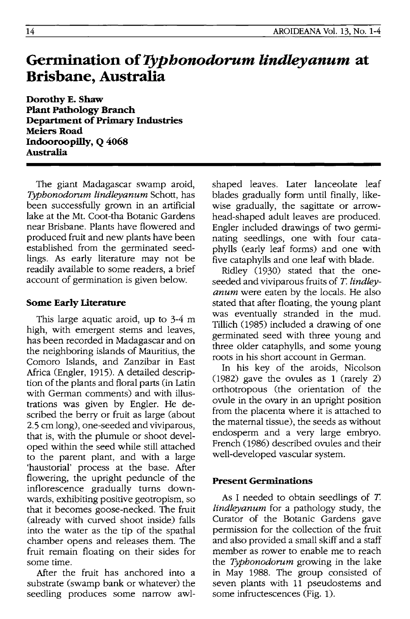# **Germination of Typhonodorum lindleyanum at Brisbane, Australia**

**Dorothy E. Shaw Plant Pathology Branch Department of Primary Industries**  Meiers Road **Indooroopilly, Q 4068 Australia** 

The giant Madagascar swamp aroid, *Typhonodorum lindleyanum* Schott, has been successfully grown in an artificial lake at the Mt. Coot -tha Botanic Gardens near Brisbane. Plants have flowered and produced fruit and new plants have been established from the germinated seedlings. As early literature may not be readily available to some readers, a brief account of germination is given below.

## **Some Early literature**

This large aquatic aroid, up to 3-4 m high, with emergent stems and leaves, has been recorded in Madagascar and on the neighboring islands of Mauritius, the Comoro Islands, and Zanzibar in East Africa (Engler, 1915). A detailed description of the plants and floral parts (in Latin with German comments) and with illustrations was given by Engler. He described the berry or fruit as large (about 2.5 em long), one-seeded and viviparous, that is, with the plumule or shoot developed within the seed while still attached to the parent plant, and with a large 'haustorial' process at the base. After flowering, the upright peduncle of the inflorescence gradually turns downwards, exhibiting positive geotropism, so that it becomes goose-necked. The fruit (already with curved shoot inside) falls into the water as the tip of the spathal chamber opens and releases them. The fruit remain floating on their sides for some time.

After the fruit has anchored into a substrate (swamp bank or whatever) the seedling produces some narrow awlshaped leaves. Later lanceolate leaf blades gradually form until finally, likewise gradually, the sagittate or arrowhead-shaped adult leaves are produced. Engler included drawings of two germinating seedlings, one with four cataphylls (early leaf forms) and one with five cataphylls and one leaf with blade.

Ridley (1930) stated that the oneseeded and viviparous fruits of *T. lindleyanum* were eaten by the locals. He also stated that after floating, the young plant was eventually stranded in the mud. Tillich (985) included a drawing of one germinated seed with three young and three older cataphylls, and some young roots in his short account in German.

In his key of the aroids, Nicolson (982) gave the ovules as 1 (rarely 2) orthotropous (the orientation of the ovule in the ovary in an upright position from the placenta where it is attached to the maternal tissue), the seeds as without endosperm and a very large embryo. French (1986) described ovules and their well-developed vascular system.

## **Present Germinations**

As I needed to obtain seedlings of *T. lindleyanum* for a pathology study, the Curator of the Botanic Gardens gave permission for the collection of the fruit and also provided a small skiff and a staff member as rower to enable me to reach the *Typhonodorum* growing in the lake in May 1988. The group consisted of seven plants with 11 pseudostems and some infructescences (Fig. 1).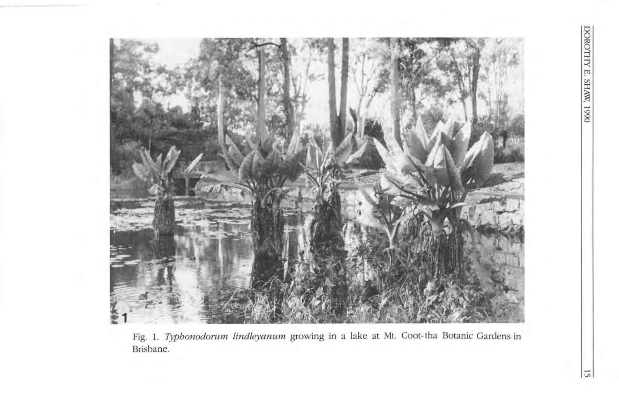

Fig. l. *Typhonodorum lindleyanum* growing in a lake at Mt. Coot-tha Botanic Gardens in Brisbane.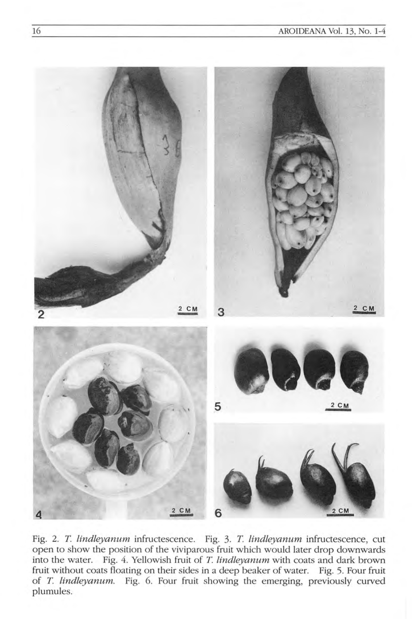

Fig. 2. *T lindleyanum* infructescence. Fig. 3. *T lindleyanum* infructescence, cut open to show the position of the viviparous fruit which would later drop downwards into the water. Fig. 4. Yellowish fruit of *T lindleyanum* with coats and dark brown fruit without coats floating on their sides in a deep beaker of water. Fig. 5. Four fruit of *T. lindleyanum.* Fig. 6. Four fruit showing the emerging, previously curved plumules.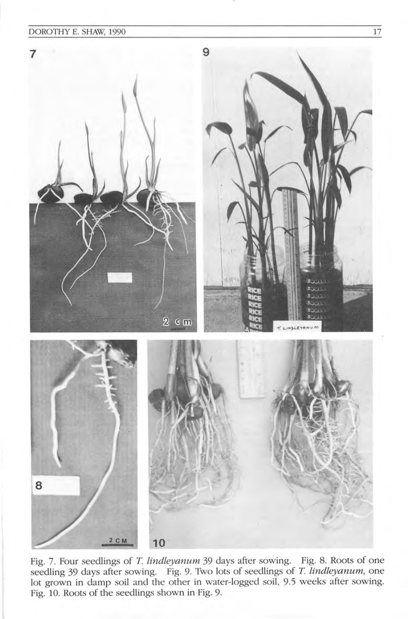#### DOROTHY E. SHAW, 1990 17



Fig. 7. Four seedlings of *T lindleyanum* 39 days after sowing. Fig. 8. Roots of one seedling 39 days after sowing. Fig. 9. Two lots of seedlings of *T lindleyanum,* one lot grown in damp soil and the other in water-logged soil, 9.5 weeks after sowing. Fig. 10. Roots of the seedlings shown in Fig. 9.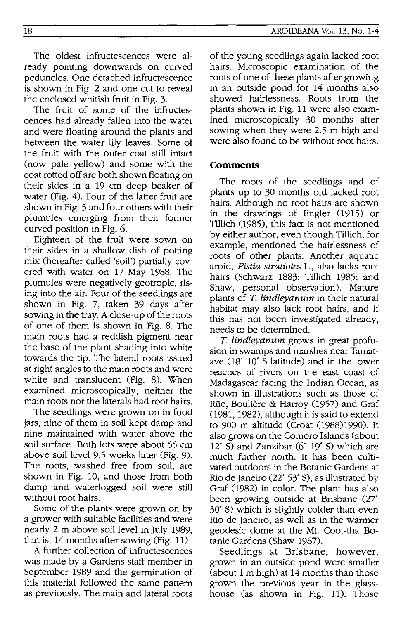The oldest infructescences were already pointing downwards on curved peduncles. One detached infructescence is shown in Fig. 2 and one cut to reveal the enclosed whitish fruit in Fig. 3.

The fruit of some of the infructescences had already fallen into the water and were floating around the plants and between the water lily leaves. Some of the fruit with the outer coat still intact (now pale yellow) and some with the coat rotted off are both shown floating on their sides in a 19 cm deep beaker of water (Fig. 4). Four of the latter fruit are shown in Fig. 5 and four others with their plumules emerging from their former curved position in Fig. 6.

Eighteen of the fruit were sown on their sides in a shallow dish of potting mix (hereafter called 'soil') partially covered with water on 17 May 1988. The plumules were negatively geotropic, rising into the air. Four of the seedlings are shown in Fig. 7, taken 39 days after sowing in the tray. A close-up of the roots of one of them is shown in Fig. 8. The main roots had a reddish pigment near the base of the plant shading into white towards the tip. The lateral roots issued at right angles to the main roots and were white and translucent (Fig. 8). When examined microscopically, neither the main roots nor the laterals had root hairs.

The seedlings were grown on in food jars, nine of them in soil kept damp and nine maintained with water above the soil surface. Both lots were about 55 cm above soil level 9.5 weeks later (Fig. 9). The roots, washed free from soil, are shown in Fig. 10, and those from both damp and waterlogged soil were still without root hairs.

Some of the plants were grown on by a grower with suitable facilities and were nearly 2 m above soil level in July 1989, that is, 14 months after sowing (Fig. 11).

A further collection of infructescences was made by a Gardens staff member in September 1989 and the germination of this material followed the same pattern as previously. The main and lateral roots

of the young seedlings again lacked root hairs. Microscopic examination of the roots of one of these plants after growing in an outside pond for 14 months also showed hairlessness. Roots from the plants shown in Fig. 11 were also examined microscopically 30 months after sowing when they were 2.5 m high and were also found to be without root hairs.

#### **Comments**

The roots of the seedlings and of plants up to 30 months old lacked root hairs. Although no root hairs are shown in the drawings of Engler (1915) or Tillich (1985), this fact is not mentioned by either author, even though Tillich, for example, mentioned the hairlessness of roots of other plants. Another aquatic aroid, *Pistia stratiotes* 1., also lacks root hairs (Schwarz 1883; Tillich 1985; and Shaw, personal observation). Mature plants of *T. lindleyanum* in their natural habitat may also lack root hairs, and if this has not been investigated already, needs to be determined.

*T. lindleyanum* grows in great profusion in swamps and marshes near Tamatave (18· 10' S latitude) and in the lower reaches of rivers on the east coast of Madagascar facing the Indian Ocean, as shown in illustrations such as those of Rue, Bouliere & Harroy (1957) and Graf (1981, 1982), although it is said to extend to 900 m altitude (Croat (1988)1990). It also grows on the Comoro Islands (about 12· S) and Zanzibar (6· 19' S) which are much further north. It has been cultivated outdoors in the Botanic Gardens at Rio de Janeiro (22· 53' S), as illustrated by Graf (1982) in color. The plant has also been growing outside at Brisbane (27<sup>°</sup> 30' S) which is slightly colder than even Rio de Janeiro, as well as in the warmer geodesic dome at the Mt. Coot-tha Botanic Gardens (Shaw 1987).

Seedlings at Brisbane, however, grown in an outside pond were smaller (about 1 m high) at 14 months than those grown the previous year in the glasshouse (as shown in Fig. 11). Those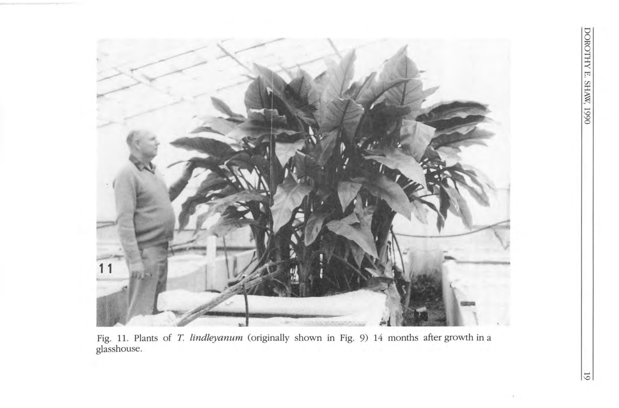

Fig. 11. Plants of *T. lindleyanum* (originally shown in Fig. 9) 14 months after growth in a g lass house.